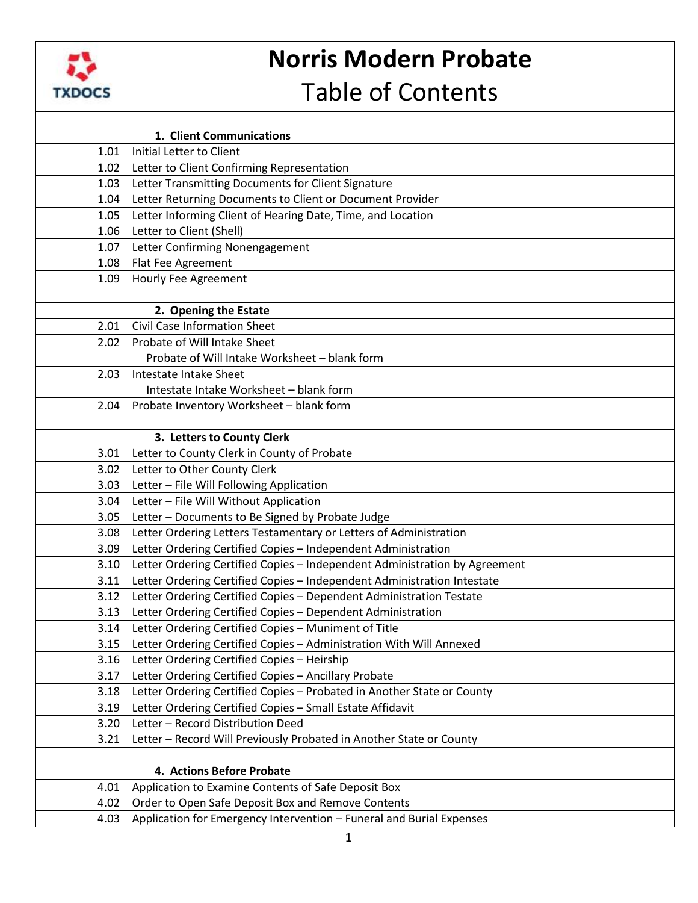

## **Norris Modern Probate**

## Table of Contents

|      | 1. Client Communications                                                   |
|------|----------------------------------------------------------------------------|
| 1.01 | Initial Letter to Client                                                   |
| 1.02 | Letter to Client Confirming Representation                                 |
| 1.03 | Letter Transmitting Documents for Client Signature                         |
| 1.04 | Letter Returning Documents to Client or Document Provider                  |
| 1.05 | Letter Informing Client of Hearing Date, Time, and Location                |
| 1.06 | Letter to Client (Shell)                                                   |
| 1.07 | Letter Confirming Nonengagement                                            |
| 1.08 | Flat Fee Agreement                                                         |
| 1.09 | <b>Hourly Fee Agreement</b>                                                |
|      |                                                                            |
|      | 2. Opening the Estate                                                      |
| 2.01 | <b>Civil Case Information Sheet</b>                                        |
| 2.02 | Probate of Will Intake Sheet                                               |
|      | Probate of Will Intake Worksheet - blank form                              |
| 2.03 | Intestate Intake Sheet                                                     |
|      | Intestate Intake Worksheet - blank form                                    |
| 2.04 | Probate Inventory Worksheet - blank form                                   |
|      |                                                                            |
|      | 3. Letters to County Clerk                                                 |
| 3.01 | Letter to County Clerk in County of Probate                                |
| 3.02 | Letter to Other County Clerk                                               |
| 3.03 | Letter - File Will Following Application                                   |
| 3.04 | Letter - File Will Without Application                                     |
| 3.05 | Letter - Documents to Be Signed by Probate Judge                           |
| 3.08 | Letter Ordering Letters Testamentary or Letters of Administration          |
| 3.09 | Letter Ordering Certified Copies - Independent Administration              |
| 3.10 | Letter Ordering Certified Copies - Independent Administration by Agreement |
| 3.11 | Letter Ordering Certified Copies - Independent Administration Intestate    |
| 3.12 | Letter Ordering Certified Copies - Dependent Administration Testate        |
| 3.13 | Letter Ordering Certified Copies - Dependent Administration                |
| 3.14 | Letter Ordering Certified Copies - Muniment of Title                       |
| 3.15 | Letter Ordering Certified Copies - Administration With Will Annexed        |
| 3.16 | Letter Ordering Certified Copies - Heirship                                |
| 3.17 | Letter Ordering Certified Copies - Ancillary Probate                       |
| 3.18 | Letter Ordering Certified Copies - Probated in Another State or County     |
| 3.19 | Letter Ordering Certified Copies - Small Estate Affidavit                  |
| 3.20 | Letter - Record Distribution Deed                                          |
| 3.21 | Letter - Record Will Previously Probated in Another State or County        |
|      |                                                                            |
|      | 4. Actions Before Probate                                                  |
| 4.01 | Application to Examine Contents of Safe Deposit Box                        |
| 4.02 | Order to Open Safe Deposit Box and Remove Contents                         |
| 4.03 | Application for Emergency Intervention - Funeral and Burial Expenses       |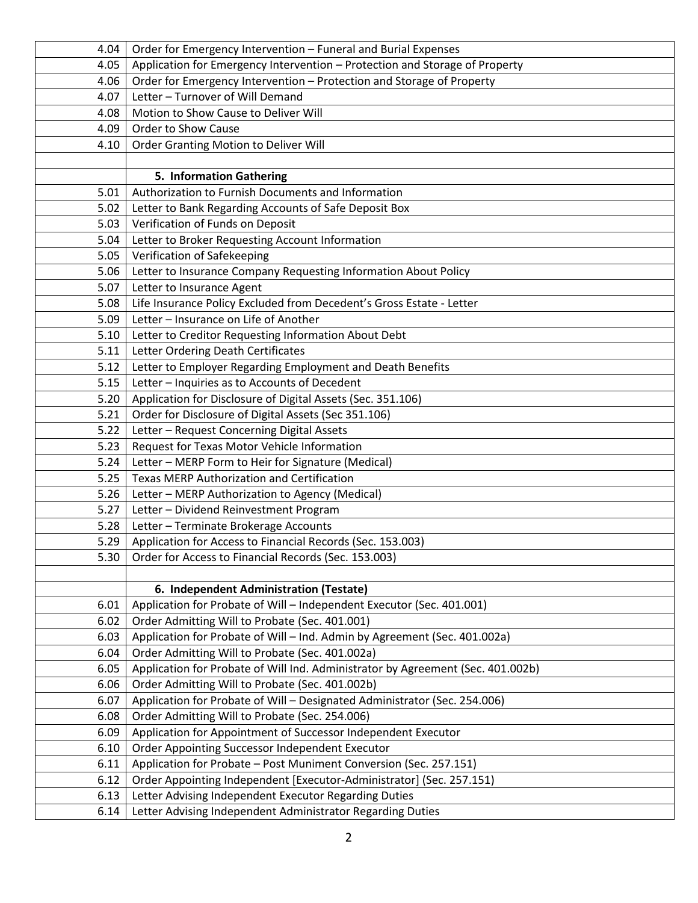| 4.04 | Order for Emergency Intervention - Funeral and Burial Expenses                  |
|------|---------------------------------------------------------------------------------|
| 4.05 | Application for Emergency Intervention - Protection and Storage of Property     |
| 4.06 | Order for Emergency Intervention - Protection and Storage of Property           |
| 4.07 | Letter - Turnover of Will Demand                                                |
| 4.08 | Motion to Show Cause to Deliver Will                                            |
| 4.09 | Order to Show Cause                                                             |
| 4.10 | Order Granting Motion to Deliver Will                                           |
|      |                                                                                 |
|      | 5. Information Gathering                                                        |
| 5.01 | Authorization to Furnish Documents and Information                              |
| 5.02 | Letter to Bank Regarding Accounts of Safe Deposit Box                           |
| 5.03 | Verification of Funds on Deposit                                                |
| 5.04 | Letter to Broker Requesting Account Information                                 |
| 5.05 | Verification of Safekeeping                                                     |
| 5.06 | Letter to Insurance Company Requesting Information About Policy                 |
| 5.07 | Letter to Insurance Agent                                                       |
| 5.08 | Life Insurance Policy Excluded from Decedent's Gross Estate - Letter            |
| 5.09 | Letter - Insurance on Life of Another                                           |
| 5.10 | Letter to Creditor Requesting Information About Debt                            |
| 5.11 | Letter Ordering Death Certificates                                              |
| 5.12 | Letter to Employer Regarding Employment and Death Benefits                      |
| 5.15 | Letter - Inquiries as to Accounts of Decedent                                   |
| 5.20 | Application for Disclosure of Digital Assets (Sec. 351.106)                     |
| 5.21 | Order for Disclosure of Digital Assets (Sec 351.106)                            |
| 5.22 | Letter - Request Concerning Digital Assets                                      |
| 5.23 | Request for Texas Motor Vehicle Information                                     |
| 5.24 | Letter - MERP Form to Heir for Signature (Medical)                              |
| 5.25 | <b>Texas MERP Authorization and Certification</b>                               |
| 5.26 | Letter - MERP Authorization to Agency (Medical)                                 |
| 5.27 | Letter - Dividend Reinvestment Program                                          |
| 5.28 | Letter - Terminate Brokerage Accounts                                           |
| 5.29 | Application for Access to Financial Records (Sec. 153.003)                      |
| 5.30 | Order for Access to Financial Records (Sec. 153.003)                            |
|      |                                                                                 |
|      | 6. Independent Administration (Testate)                                         |
| 6.01 | Application for Probate of Will - Independent Executor (Sec. 401.001)           |
| 6.02 | Order Admitting Will to Probate (Sec. 401.001)                                  |
| 6.03 | Application for Probate of Will - Ind. Admin by Agreement (Sec. 401.002a)       |
| 6.04 | Order Admitting Will to Probate (Sec. 401.002a)                                 |
| 6.05 | Application for Probate of Will Ind. Administrator by Agreement (Sec. 401.002b) |
| 6.06 | Order Admitting Will to Probate (Sec. 401.002b)                                 |
| 6.07 | Application for Probate of Will - Designated Administrator (Sec. 254.006)       |
| 6.08 | Order Admitting Will to Probate (Sec. 254.006)                                  |
| 6.09 | Application for Appointment of Successor Independent Executor                   |
| 6.10 | Order Appointing Successor Independent Executor                                 |
| 6.11 | Application for Probate - Post Muniment Conversion (Sec. 257.151)               |
| 6.12 | Order Appointing Independent [Executor-Administrator] (Sec. 257.151)            |
| 6.13 | Letter Advising Independent Executor Regarding Duties                           |
| 6.14 | Letter Advising Independent Administrator Regarding Duties                      |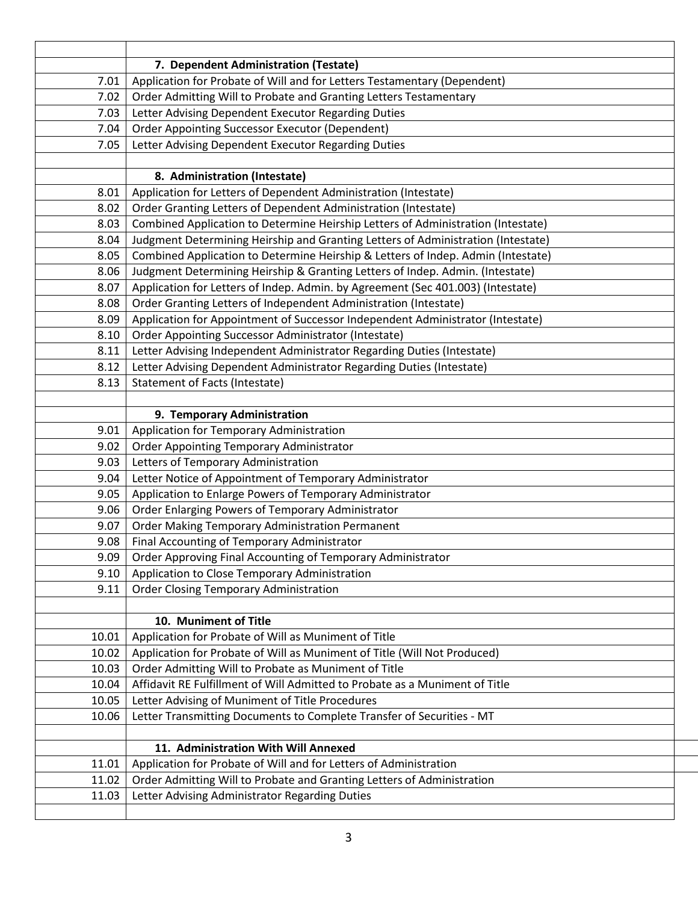|       | 7. Dependent Administration (Testate)                                            |
|-------|----------------------------------------------------------------------------------|
| 7.01  | Application for Probate of Will and for Letters Testamentary (Dependent)         |
| 7.02  | Order Admitting Will to Probate and Granting Letters Testamentary                |
| 7.03  | Letter Advising Dependent Executor Regarding Duties                              |
| 7.04  | <b>Order Appointing Successor Executor (Dependent)</b>                           |
| 7.05  | Letter Advising Dependent Executor Regarding Duties                              |
|       |                                                                                  |
|       | 8. Administration (Intestate)                                                    |
| 8.01  | Application for Letters of Dependent Administration (Intestate)                  |
| 8.02  | Order Granting Letters of Dependent Administration (Intestate)                   |
| 8.03  | Combined Application to Determine Heirship Letters of Administration (Intestate) |
| 8.04  | Judgment Determining Heirship and Granting Letters of Administration (Intestate) |
| 8.05  | Combined Application to Determine Heirship & Letters of Indep. Admin (Intestate) |
| 8.06  | Judgment Determining Heirship & Granting Letters of Indep. Admin. (Intestate)    |
| 8.07  | Application for Letters of Indep. Admin. by Agreement (Sec 401.003) (Intestate)  |
| 8.08  | Order Granting Letters of Independent Administration (Intestate)                 |
| 8.09  | Application for Appointment of Successor Independent Administrator (Intestate)   |
| 8.10  | Order Appointing Successor Administrator (Intestate)                             |
| 8.11  | Letter Advising Independent Administrator Regarding Duties (Intestate)           |
| 8.12  | Letter Advising Dependent Administrator Regarding Duties (Intestate)             |
| 8.13  | <b>Statement of Facts (Intestate)</b>                                            |
|       |                                                                                  |
|       | 9. Temporary Administration                                                      |
| 9.01  | Application for Temporary Administration                                         |
| 9.02  | Order Appointing Temporary Administrator                                         |
| 9.03  | Letters of Temporary Administration                                              |
| 9.04  | Letter Notice of Appointment of Temporary Administrator                          |
| 9.05  | Application to Enlarge Powers of Temporary Administrator                         |
| 9.06  | Order Enlarging Powers of Temporary Administrator                                |
| 9.07  | Order Making Temporary Administration Permanent                                  |
| 9.08  | Final Accounting of Temporary Administrator                                      |
| 9.09  | Order Approving Final Accounting of Temporary Administrator                      |
| 9.10  | Application to Close Temporary Administration                                    |
| 9.11  | <b>Order Closing Temporary Administration</b>                                    |
|       |                                                                                  |
|       | 10. Muniment of Title                                                            |
| 10.01 | Application for Probate of Will as Muniment of Title                             |
| 10.02 | Application for Probate of Will as Muniment of Title (Will Not Produced)         |
| 10.03 | Order Admitting Will to Probate as Muniment of Title                             |
| 10.04 | Affidavit RE Fulfillment of Will Admitted to Probate as a Muniment of Title      |
| 10.05 | Letter Advising of Muniment of Title Procedures                                  |
| 10.06 | Letter Transmitting Documents to Complete Transfer of Securities - MT            |
|       |                                                                                  |
|       | 11. Administration With Will Annexed                                             |
| 11.01 | Application for Probate of Will and for Letters of Administration                |
| 11.02 | Order Admitting Will to Probate and Granting Letters of Administration           |
| 11.03 | Letter Advising Administrator Regarding Duties                                   |
|       |                                                                                  |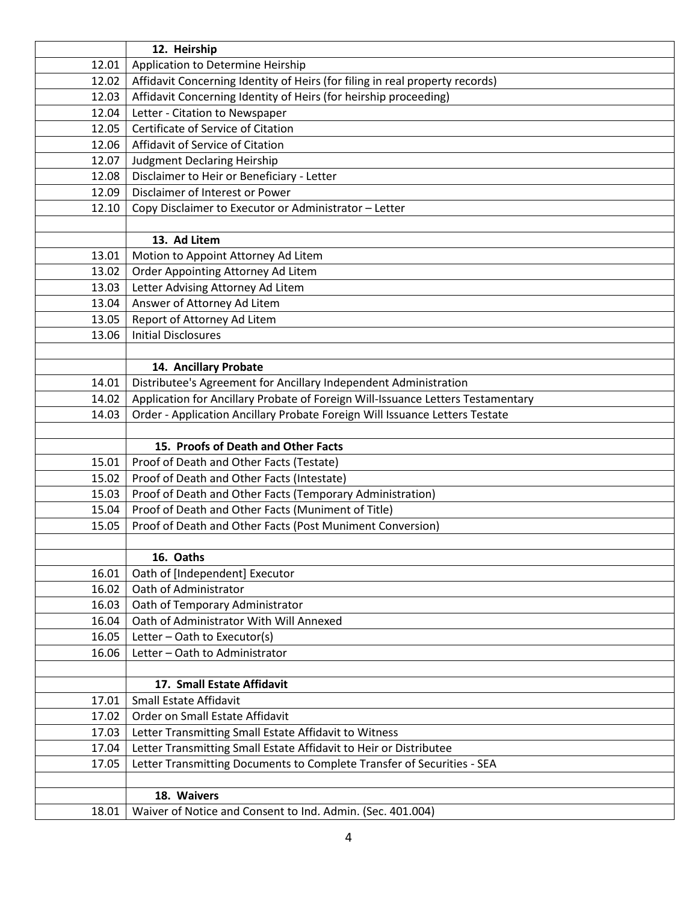|                | 12. Heirship                                                                                            |
|----------------|---------------------------------------------------------------------------------------------------------|
| 12.01          | Application to Determine Heirship                                                                       |
| 12.02          | Affidavit Concerning Identity of Heirs (for filing in real property records)                            |
| 12.03          | Affidavit Concerning Identity of Heirs (for heirship proceeding)                                        |
| 12.04          | Letter - Citation to Newspaper                                                                          |
| 12.05          | Certificate of Service of Citation                                                                      |
| 12.06          | Affidavit of Service of Citation                                                                        |
| 12.07          | <b>Judgment Declaring Heirship</b>                                                                      |
| 12.08          | Disclaimer to Heir or Beneficiary - Letter                                                              |
| 12.09          | Disclaimer of Interest or Power                                                                         |
| 12.10          | Copy Disclaimer to Executor or Administrator - Letter                                                   |
|                |                                                                                                         |
|                | 13. Ad Litem                                                                                            |
| 13.01          | Motion to Appoint Attorney Ad Litem                                                                     |
| 13.02          | Order Appointing Attorney Ad Litem                                                                      |
| 13.03          | Letter Advising Attorney Ad Litem                                                                       |
| 13.04          | Answer of Attorney Ad Litem                                                                             |
| 13.05          | Report of Attorney Ad Litem                                                                             |
| 13.06          | <b>Initial Disclosures</b>                                                                              |
|                |                                                                                                         |
|                | 14. Ancillary Probate                                                                                   |
| 14.01          | Distributee's Agreement for Ancillary Independent Administration                                        |
| 14.02          | Application for Ancillary Probate of Foreign Will-Issuance Letters Testamentary                         |
| 14.03          | Order - Application Ancillary Probate Foreign Will Issuance Letters Testate                             |
|                |                                                                                                         |
|                | 15. Proofs of Death and Other Facts                                                                     |
| 15.01<br>15.02 | Proof of Death and Other Facts (Testate)                                                                |
| 15.03          | Proof of Death and Other Facts (Intestate)<br>Proof of Death and Other Facts (Temporary Administration) |
| 15.04          | Proof of Death and Other Facts (Muniment of Title)                                                      |
| 15.05          | Proof of Death and Other Facts (Post Muniment Conversion)                                               |
|                |                                                                                                         |
|                | 16. Oaths                                                                                               |
| 16.01          | Oath of [Independent] Executor                                                                          |
| 16.02          | Oath of Administrator                                                                                   |
| 16.03          | Oath of Temporary Administrator                                                                         |
| 16.04          | Oath of Administrator With Will Annexed                                                                 |
| 16.05          | Letter - Oath to Executor(s)                                                                            |
| 16.06          | Letter - Oath to Administrator                                                                          |
|                |                                                                                                         |
|                | 17. Small Estate Affidavit                                                                              |
| 17.01          | Small Estate Affidavit                                                                                  |
| 17.02          | Order on Small Estate Affidavit                                                                         |
| 17.03          | Letter Transmitting Small Estate Affidavit to Witness                                                   |
| 17.04          | Letter Transmitting Small Estate Affidavit to Heir or Distributee                                       |
| 17.05          | Letter Transmitting Documents to Complete Transfer of Securities - SEA                                  |
|                |                                                                                                         |
|                | 18. Waivers                                                                                             |
| 18.01          | Waiver of Notice and Consent to Ind. Admin. (Sec. 401.004)                                              |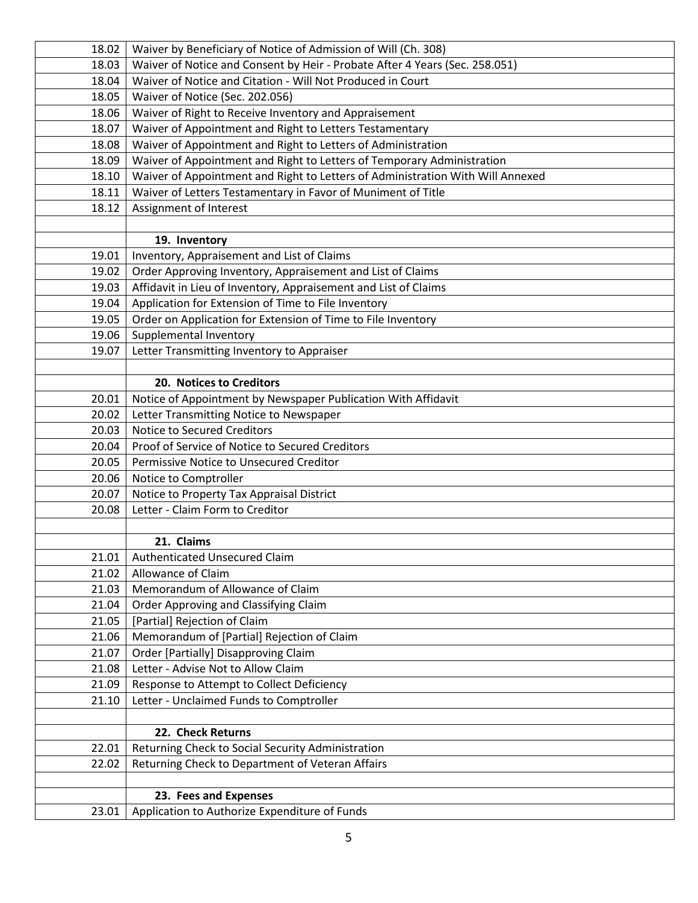| 18.02 | Waiver by Beneficiary of Notice of Admission of Will (Ch. 308)                 |
|-------|--------------------------------------------------------------------------------|
| 18.03 | Waiver of Notice and Consent by Heir - Probate After 4 Years (Sec. 258.051)    |
| 18.04 | Waiver of Notice and Citation - Will Not Produced in Court                     |
| 18.05 | Waiver of Notice (Sec. 202.056)                                                |
| 18.06 | Waiver of Right to Receive Inventory and Appraisement                          |
| 18.07 | Waiver of Appointment and Right to Letters Testamentary                        |
| 18.08 | Waiver of Appointment and Right to Letters of Administration                   |
| 18.09 | Waiver of Appointment and Right to Letters of Temporary Administration         |
| 18.10 | Waiver of Appointment and Right to Letters of Administration With Will Annexed |
| 18.11 | Waiver of Letters Testamentary in Favor of Muniment of Title                   |
| 18.12 | Assignment of Interest                                                         |
|       |                                                                                |
|       | 19. Inventory                                                                  |
| 19.01 | Inventory, Appraisement and List of Claims                                     |
| 19.02 | Order Approving Inventory, Appraisement and List of Claims                     |
| 19.03 | Affidavit in Lieu of Inventory, Appraisement and List of Claims                |
| 19.04 | Application for Extension of Time to File Inventory                            |
| 19.05 | Order on Application for Extension of Time to File Inventory                   |
| 19.06 | Supplemental Inventory                                                         |
| 19.07 | Letter Transmitting Inventory to Appraiser                                     |
|       |                                                                                |
|       | 20. Notices to Creditors                                                       |
| 20.01 | Notice of Appointment by Newspaper Publication With Affidavit                  |
| 20.02 | Letter Transmitting Notice to Newspaper                                        |
| 20.03 | <b>Notice to Secured Creditors</b>                                             |
| 20.04 | Proof of Service of Notice to Secured Creditors                                |
| 20.05 | Permissive Notice to Unsecured Creditor                                        |
| 20.06 | Notice to Comptroller                                                          |
| 20.07 | Notice to Property Tax Appraisal District                                      |
| 20.08 | Letter - Claim Form to Creditor                                                |
|       |                                                                                |
|       | 21. Claims                                                                     |
| 21.01 | Authenticated Unsecured Claim                                                  |
| 21.02 | Allowance of Claim                                                             |
| 21.03 | Memorandum of Allowance of Claim                                               |
| 21.04 | Order Approving and Classifying Claim                                          |
| 21.05 | [Partial] Rejection of Claim                                                   |
| 21.06 | Memorandum of [Partial] Rejection of Claim                                     |
| 21.07 | Order [Partially] Disapproving Claim                                           |
| 21.08 | Letter - Advise Not to Allow Claim                                             |
| 21.09 | Response to Attempt to Collect Deficiency                                      |
| 21.10 | Letter - Unclaimed Funds to Comptroller                                        |
|       |                                                                                |
|       | 22. Check Returns                                                              |
| 22.01 | Returning Check to Social Security Administration                              |
| 22.02 | Returning Check to Department of Veteran Affairs                               |
|       |                                                                                |
|       | 23. Fees and Expenses                                                          |
| 23.01 | Application to Authorize Expenditure of Funds                                  |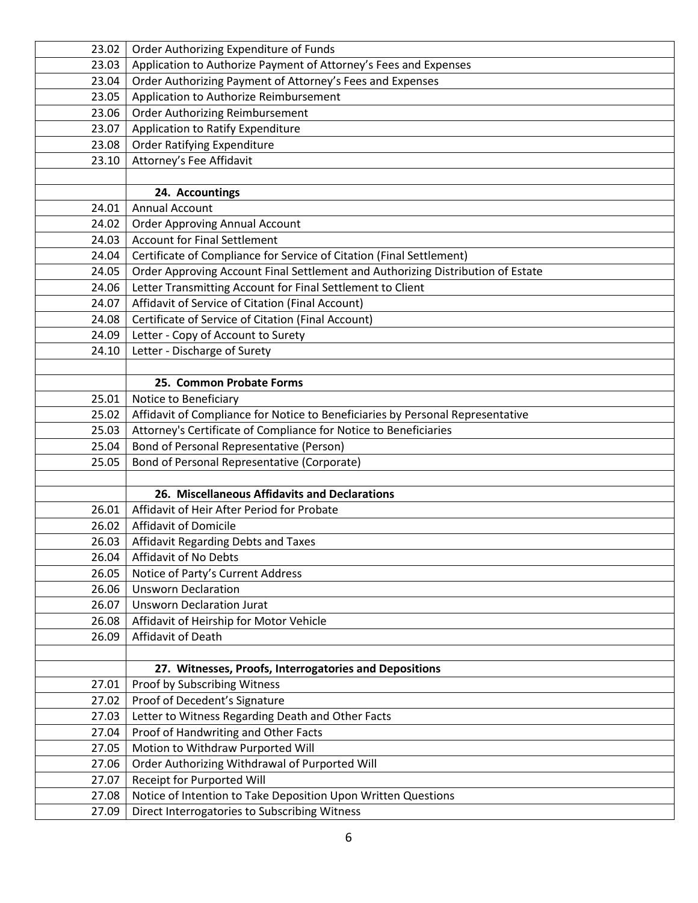| 23.02 | Order Authorizing Expenditure of Funds                                          |
|-------|---------------------------------------------------------------------------------|
| 23.03 | Application to Authorize Payment of Attorney's Fees and Expenses                |
| 23.04 | Order Authorizing Payment of Attorney's Fees and Expenses                       |
| 23.05 | Application to Authorize Reimbursement                                          |
| 23.06 | <b>Order Authorizing Reimbursement</b>                                          |
| 23.07 | Application to Ratify Expenditure                                               |
| 23.08 | <b>Order Ratifying Expenditure</b>                                              |
| 23.10 | Attorney's Fee Affidavit                                                        |
|       |                                                                                 |
|       | 24. Accountings                                                                 |
| 24.01 | <b>Annual Account</b>                                                           |
| 24.02 | <b>Order Approving Annual Account</b>                                           |
| 24.03 | <b>Account for Final Settlement</b>                                             |
| 24.04 | Certificate of Compliance for Service of Citation (Final Settlement)            |
| 24.05 | Order Approving Account Final Settlement and Authorizing Distribution of Estate |
| 24.06 | Letter Transmitting Account for Final Settlement to Client                      |
| 24.07 | Affidavit of Service of Citation (Final Account)                                |
| 24.08 | Certificate of Service of Citation (Final Account)                              |
| 24.09 | Letter - Copy of Account to Surety                                              |
| 24.10 | Letter - Discharge of Surety                                                    |
|       |                                                                                 |
|       | 25. Common Probate Forms                                                        |
| 25.01 | Notice to Beneficiary                                                           |
| 25.02 | Affidavit of Compliance for Notice to Beneficiaries by Personal Representative  |
| 25.03 | Attorney's Certificate of Compliance for Notice to Beneficiaries                |
| 25.04 | Bond of Personal Representative (Person)                                        |
| 25.05 | Bond of Personal Representative (Corporate)                                     |
|       |                                                                                 |
|       | 26. Miscellaneous Affidavits and Declarations                                   |
| 26.01 | Affidavit of Heir After Period for Probate                                      |
| 26.02 | Affidavit of Domicile                                                           |
| 26.03 | Affidavit Regarding Debts and Taxes                                             |
| 26.04 | Affidavit of No Debts                                                           |
| 26.05 | Notice of Party's Current Address                                               |
| 26.06 | <b>Unsworn Declaration</b>                                                      |
| 26.07 | <b>Unsworn Declaration Jurat</b>                                                |
| 26.08 | Affidavit of Heirship for Motor Vehicle                                         |
| 26.09 | Affidavit of Death                                                              |
|       |                                                                                 |
|       | 27. Witnesses, Proofs, Interrogatories and Depositions                          |
| 27.01 | Proof by Subscribing Witness                                                    |
| 27.02 | Proof of Decedent's Signature                                                   |
| 27.03 | Letter to Witness Regarding Death and Other Facts                               |
| 27.04 | Proof of Handwriting and Other Facts                                            |
| 27.05 | Motion to Withdraw Purported Will                                               |
| 27.06 | Order Authorizing Withdrawal of Purported Will                                  |
| 27.07 | Receipt for Purported Will                                                      |
| 27.08 | Notice of Intention to Take Deposition Upon Written Questions                   |
| 27.09 | Direct Interrogatories to Subscribing Witness                                   |
|       |                                                                                 |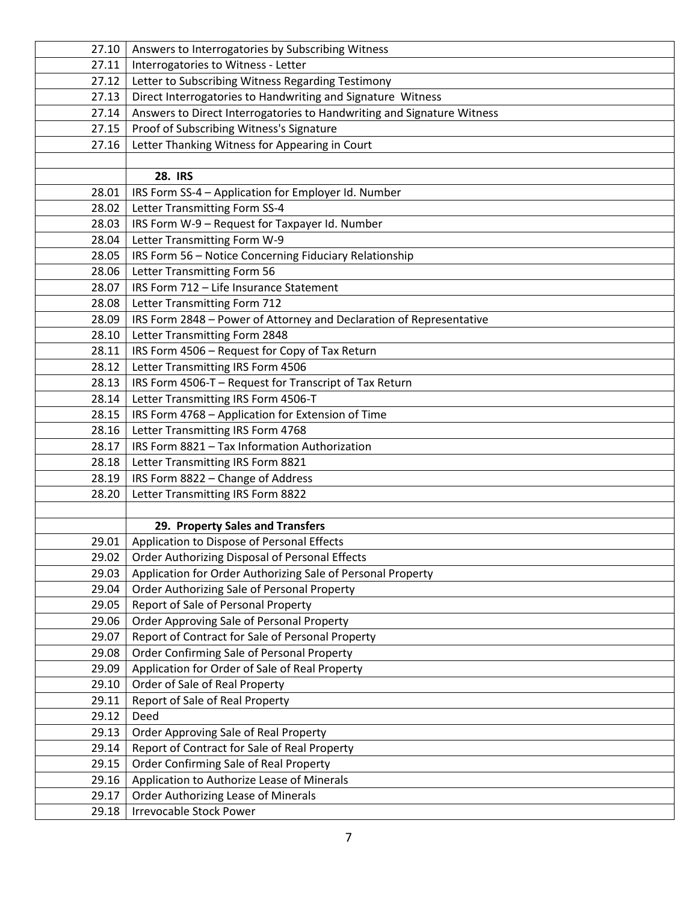| 27.10 | Answers to Interrogatories by Subscribing Witness                      |
|-------|------------------------------------------------------------------------|
| 27.11 | Interrogatories to Witness - Letter                                    |
| 27.12 | Letter to Subscribing Witness Regarding Testimony                      |
| 27.13 | Direct Interrogatories to Handwriting and Signature Witness            |
| 27.14 | Answers to Direct Interrogatories to Handwriting and Signature Witness |
| 27.15 | Proof of Subscribing Witness's Signature                               |
| 27.16 | Letter Thanking Witness for Appearing in Court                         |
|       |                                                                        |
|       | <b>28. IRS</b>                                                         |
| 28.01 | IRS Form SS-4 - Application for Employer Id. Number                    |
| 28.02 | Letter Transmitting Form SS-4                                          |
| 28.03 | IRS Form W-9 - Request for Taxpayer Id. Number                         |
| 28.04 | Letter Transmitting Form W-9                                           |
| 28.05 | IRS Form 56 - Notice Concerning Fiduciary Relationship                 |
| 28.06 | Letter Transmitting Form 56                                            |
| 28.07 | IRS Form 712 - Life Insurance Statement                                |
| 28.08 | Letter Transmitting Form 712                                           |
| 28.09 | IRS Form 2848 - Power of Attorney and Declaration of Representative    |
| 28.10 | Letter Transmitting Form 2848                                          |
| 28.11 | IRS Form 4506 - Request for Copy of Tax Return                         |
| 28.12 | Letter Transmitting IRS Form 4506                                      |
| 28.13 | IRS Form 4506-T - Request for Transcript of Tax Return                 |
| 28.14 | Letter Transmitting IRS Form 4506-T                                    |
| 28.15 | IRS Form 4768 - Application for Extension of Time                      |
| 28.16 | Letter Transmitting IRS Form 4768                                      |
| 28.17 | IRS Form 8821 - Tax Information Authorization                          |
| 28.18 | Letter Transmitting IRS Form 8821                                      |
| 28.19 | IRS Form 8822 - Change of Address                                      |
| 28.20 | Letter Transmitting IRS Form 8822                                      |
|       |                                                                        |
|       | 29. Property Sales and Transfers                                       |
| 29.01 | Application to Dispose of Personal Effects                             |
| 29.02 | Order Authorizing Disposal of Personal Effects                         |
| 29.03 | Application for Order Authorizing Sale of Personal Property            |
| 29.04 | Order Authorizing Sale of Personal Property                            |
| 29.05 | Report of Sale of Personal Property                                    |
| 29.06 | Order Approving Sale of Personal Property                              |
| 29.07 | Report of Contract for Sale of Personal Property                       |
| 29.08 | Order Confirming Sale of Personal Property                             |
| 29.09 | Application for Order of Sale of Real Property                         |
| 29.10 | Order of Sale of Real Property                                         |
| 29.11 | Report of Sale of Real Property                                        |
| 29.12 | Deed                                                                   |
| 29.13 | Order Approving Sale of Real Property                                  |
| 29.14 | Report of Contract for Sale of Real Property                           |
| 29.15 | Order Confirming Sale of Real Property                                 |
| 29.16 | Application to Authorize Lease of Minerals                             |
| 29.17 | Order Authorizing Lease of Minerals                                    |
| 29.18 | <b>Irrevocable Stock Power</b>                                         |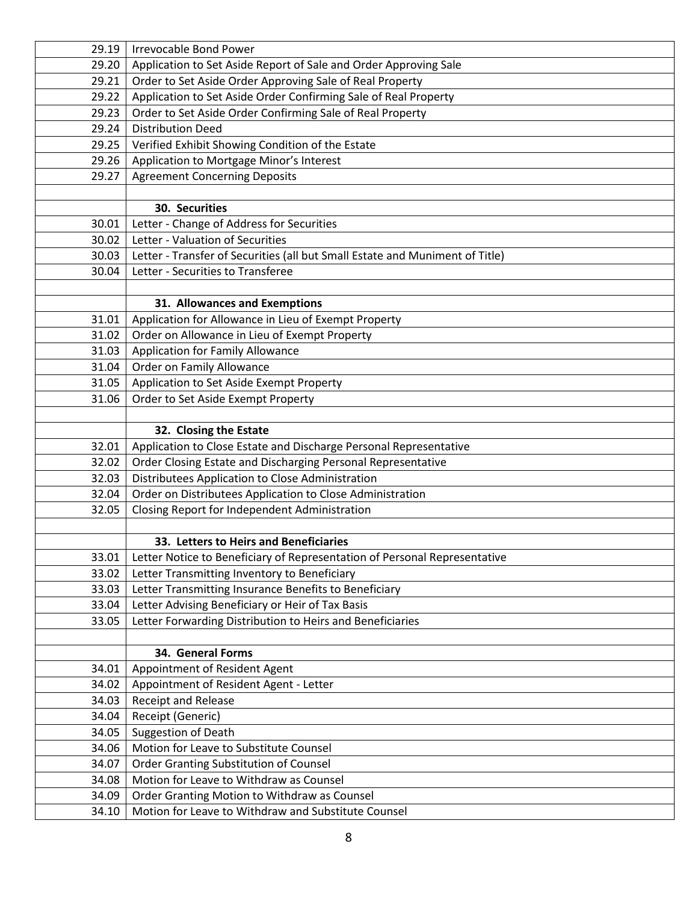| 29.19 | <b>Irrevocable Bond Power</b>                                                |
|-------|------------------------------------------------------------------------------|
| 29.20 | Application to Set Aside Report of Sale and Order Approving Sale             |
| 29.21 | Order to Set Aside Order Approving Sale of Real Property                     |
| 29.22 | Application to Set Aside Order Confirming Sale of Real Property              |
| 29.23 | Order to Set Aside Order Confirming Sale of Real Property                    |
| 29.24 | <b>Distribution Deed</b>                                                     |
| 29.25 | Verified Exhibit Showing Condition of the Estate                             |
| 29.26 | Application to Mortgage Minor's Interest                                     |
| 29.27 | <b>Agreement Concerning Deposits</b>                                         |
|       |                                                                              |
|       | 30. Securities                                                               |
| 30.01 | Letter - Change of Address for Securities                                    |
| 30.02 | Letter - Valuation of Securities                                             |
| 30.03 | Letter - Transfer of Securities (all but Small Estate and Muniment of Title) |
| 30.04 | Letter - Securities to Transferee                                            |
|       |                                                                              |
|       | 31. Allowances and Exemptions                                                |
| 31.01 | Application for Allowance in Lieu of Exempt Property                         |
| 31.02 | Order on Allowance in Lieu of Exempt Property                                |
| 31.03 | <b>Application for Family Allowance</b>                                      |
| 31.04 | Order on Family Allowance                                                    |
| 31.05 | Application to Set Aside Exempt Property                                     |
| 31.06 | Order to Set Aside Exempt Property                                           |
|       |                                                                              |
|       | 32. Closing the Estate                                                       |
| 32.01 | Application to Close Estate and Discharge Personal Representative            |
| 32.02 | Order Closing Estate and Discharging Personal Representative                 |
| 32.03 | Distributees Application to Close Administration                             |
| 32.04 | Order on Distributees Application to Close Administration                    |
| 32.05 | Closing Report for Independent Administration                                |
|       |                                                                              |
|       | 33. Letters to Heirs and Beneficiaries                                       |
| 33.01 | Letter Notice to Beneficiary of Representation of Personal Representative    |
| 33.02 | Letter Transmitting Inventory to Beneficiary                                 |
| 33.03 | Letter Transmitting Insurance Benefits to Beneficiary                        |
| 33.04 | Letter Advising Beneficiary or Heir of Tax Basis                             |
| 33.05 | Letter Forwarding Distribution to Heirs and Beneficiaries                    |
|       |                                                                              |
|       | 34. General Forms                                                            |
| 34.01 | Appointment of Resident Agent                                                |
| 34.02 | Appointment of Resident Agent - Letter                                       |
| 34.03 | <b>Receipt and Release</b>                                                   |
| 34.04 | Receipt (Generic)                                                            |
| 34.05 | <b>Suggestion of Death</b>                                                   |
| 34.06 | Motion for Leave to Substitute Counsel                                       |
| 34.07 | Order Granting Substitution of Counsel                                       |
| 34.08 | Motion for Leave to Withdraw as Counsel                                      |
| 34.09 | Order Granting Motion to Withdraw as Counsel                                 |
| 34.10 | Motion for Leave to Withdraw and Substitute Counsel                          |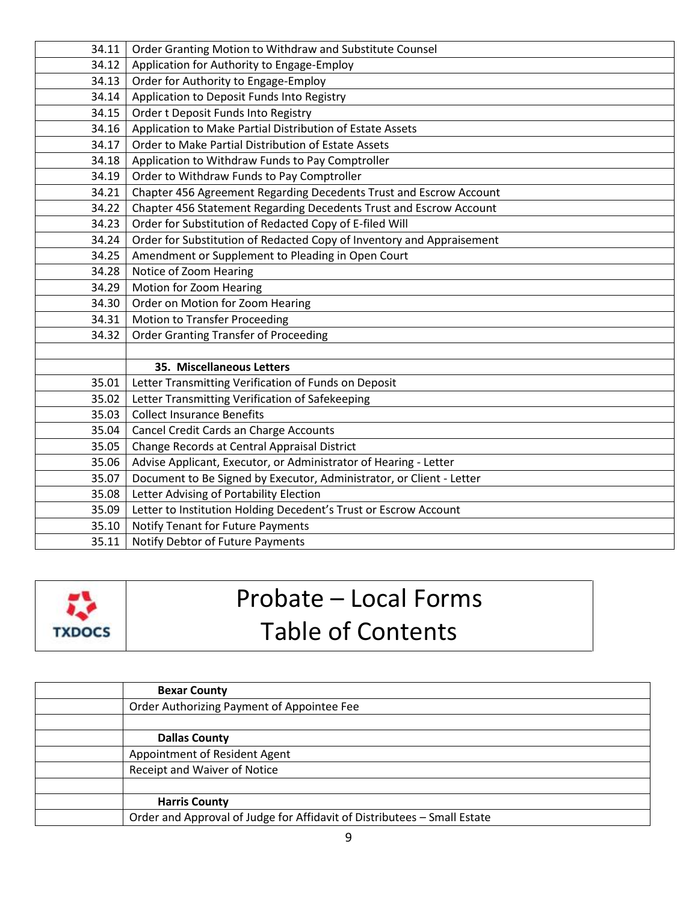| 34.11 | Order Granting Motion to Withdraw and Substitute Counsel              |
|-------|-----------------------------------------------------------------------|
| 34.12 | Application for Authority to Engage-Employ                            |
| 34.13 | Order for Authority to Engage-Employ                                  |
| 34.14 | Application to Deposit Funds Into Registry                            |
| 34.15 | Order t Deposit Funds Into Registry                                   |
| 34.16 | Application to Make Partial Distribution of Estate Assets             |
| 34.17 | Order to Make Partial Distribution of Estate Assets                   |
| 34.18 | Application to Withdraw Funds to Pay Comptroller                      |
| 34.19 | Order to Withdraw Funds to Pay Comptroller                            |
| 34.21 | Chapter 456 Agreement Regarding Decedents Trust and Escrow Account    |
| 34.22 | Chapter 456 Statement Regarding Decedents Trust and Escrow Account    |
| 34.23 | Order for Substitution of Redacted Copy of E-filed Will               |
| 34.24 | Order for Substitution of Redacted Copy of Inventory and Appraisement |
| 34.25 | Amendment or Supplement to Pleading in Open Court                     |
| 34.28 | Notice of Zoom Hearing                                                |
| 34.29 | Motion for Zoom Hearing                                               |
| 34.30 | Order on Motion for Zoom Hearing                                      |
| 34.31 | <b>Motion to Transfer Proceeding</b>                                  |
| 34.32 | <b>Order Granting Transfer of Proceeding</b>                          |
|       |                                                                       |
|       | 35. Miscellaneous Letters                                             |
| 35.01 | Letter Transmitting Verification of Funds on Deposit                  |
| 35.02 | Letter Transmitting Verification of Safekeeping                       |
| 35.03 | <b>Collect Insurance Benefits</b>                                     |
| 35.04 | Cancel Credit Cards an Charge Accounts                                |
| 35.05 | Change Records at Central Appraisal District                          |
| 35.06 | Advise Applicant, Executor, or Administrator of Hearing - Letter      |
| 35.07 | Document to Be Signed by Executor, Administrator, or Client - Letter  |
| 35.08 | Letter Advising of Portability Election                               |
| 35.09 | Letter to Institution Holding Decedent's Trust or Escrow Account      |
| 35.10 | Notify Tenant for Future Payments                                     |
| 35.11 | Notify Debtor of Future Payments                                      |



## Probate – Local Forms Table of Contents

| <b>Bexar County</b>                                                      |
|--------------------------------------------------------------------------|
| Order Authorizing Payment of Appointee Fee                               |
|                                                                          |
| <b>Dallas County</b>                                                     |
| Appointment of Resident Agent                                            |
| Receipt and Waiver of Notice                                             |
|                                                                          |
| <b>Harris County</b>                                                     |
| Order and Approval of Judge for Affidavit of Distributees - Small Estate |